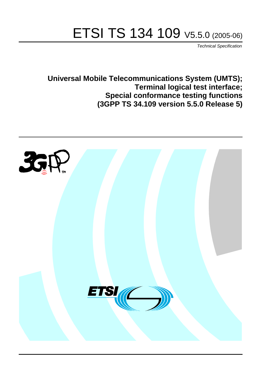# ETSI TS 134 109 V5.5.0 (2005-06)

Technical Specification

**Universal Mobile Telecommunications System (UMTS); Terminal logical test interface; Special conformance testing functions (3GPP TS 34.109 version 5.5.0 Release 5)**

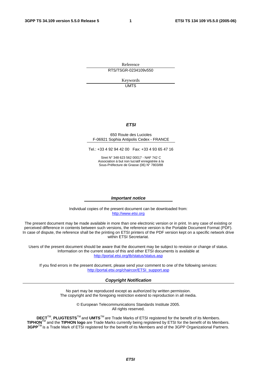Reference RTS/TSGR-0234109v550

> Keywords UMTS

#### **ETSI**

#### 650 Route des Lucioles F-06921 Sophia Antipolis Cedex - FRANCE

Tel.: +33 4 92 94 42 00 Fax: +33 4 93 65 47 16

Siret N° 348 623 562 00017 - NAF 742 C Association à but non lucratif enregistrée à la Sous-Préfecture de Grasse (06) N° 7803/88

#### **Important notice**

Individual copies of the present document can be downloaded from: [http://www.etsi.org](http://www.etsi.org/)

The present document may be made available in more than one electronic version or in print. In any case of existing or perceived difference in contents between such versions, the reference version is the Portable Document Format (PDF). In case of dispute, the reference shall be the printing on ETSI printers of the PDF version kept on a specific network drive within ETSI Secretariat.

Users of the present document should be aware that the document may be subject to revision or change of status. Information on the current status of this and other ETSI documents is available at <http://portal.etsi.org/tb/status/status.asp>

If you find errors in the present document, please send your comment to one of the following services: [http://portal.etsi.org/chaircor/ETSI\\_support.asp](http://portal.etsi.org/chaircor/ETSI_support.asp)

#### **Copyright Notification**

No part may be reproduced except as authorized by written permission. The copyright and the foregoing restriction extend to reproduction in all media.

> © European Telecommunications Standards Institute 2005. All rights reserved.

**DECT**TM, **PLUGTESTS**TM and **UMTS**TM are Trade Marks of ETSI registered for the benefit of its Members. **TIPHON**TM and the **TIPHON logo** are Trade Marks currently being registered by ETSI for the benefit of its Members. **3GPP**TM is a Trade Mark of ETSI registered for the benefit of its Members and of the 3GPP Organizational Partners.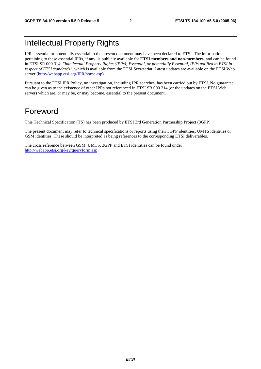# Intellectual Property Rights

IPRs essential or potentially essential to the present document may have been declared to ETSI. The information pertaining to these essential IPRs, if any, is publicly available for **ETSI members and non-members**, and can be found in ETSI SR 000 314: *"Intellectual Property Rights (IPRs); Essential, or potentially Essential, IPRs notified to ETSI in respect of ETSI standards"*, which is available from the ETSI Secretariat. Latest updates are available on the ETSI Web server ([http://webapp.etsi.org/IPR/home.asp\)](http://webapp.etsi.org/IPR/home.asp).

Pursuant to the ETSI IPR Policy, no investigation, including IPR searches, has been carried out by ETSI. No guarantee can be given as to the existence of other IPRs not referenced in ETSI SR 000 314 (or the updates on the ETSI Web server) which are, or may be, or may become, essential to the present document.

# Foreword

This Technical Specification (TS) has been produced by ETSI 3rd Generation Partnership Project (3GPP).

The present document may refer to technical specifications or reports using their 3GPP identities, UMTS identities or GSM identities. These should be interpreted as being references to the corresponding ETSI deliverables.

The cross reference between GSM, UMTS, 3GPP and ETSI identities can be found under <http://webapp.etsi.org/key/queryform.asp>.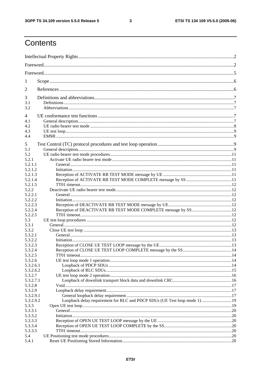$\mathbf{3}$ 

# Contents

| 1         |                                                                            |  |
|-----------|----------------------------------------------------------------------------|--|
| 2         |                                                                            |  |
| 3         |                                                                            |  |
| 3.1       |                                                                            |  |
| 3.2       |                                                                            |  |
| 4         |                                                                            |  |
| 4.1       |                                                                            |  |
| 4.2       |                                                                            |  |
| 4.3       |                                                                            |  |
| 4.4       |                                                                            |  |
| 5         |                                                                            |  |
| 5.1       |                                                                            |  |
| 5.2       |                                                                            |  |
| 5.2.1     |                                                                            |  |
| 5.2.1.1   |                                                                            |  |
| 5.2.1.2   |                                                                            |  |
| 5.2.1.3   |                                                                            |  |
| 5.2.1.4   |                                                                            |  |
| 5.2.1.5   |                                                                            |  |
| 5.2.2     |                                                                            |  |
| 5.2.2.1   |                                                                            |  |
| 5.2.2.2   |                                                                            |  |
| 5.2.2.3   |                                                                            |  |
| 5.2.2.4   |                                                                            |  |
| 5.2.2.5   |                                                                            |  |
| 5.3       |                                                                            |  |
| 5.3.1     |                                                                            |  |
| 5.3.2     |                                                                            |  |
| 5.3.2.1   |                                                                            |  |
| 5.3.2.2   |                                                                            |  |
| 5.3.2.3   |                                                                            |  |
| 5.3.2.4   |                                                                            |  |
| 5.3.2.5   |                                                                            |  |
| 5.3.2.6   |                                                                            |  |
| 5.3.2.6.1 |                                                                            |  |
| 5.3.2.6.2 |                                                                            |  |
| 5.3.2.7   |                                                                            |  |
| 5.3.2.7.1 |                                                                            |  |
| 5.3.2.8   |                                                                            |  |
| 5.3.2.9   |                                                                            |  |
| 5.3.2.9.1 |                                                                            |  |
| 5.3.2.9.2 | Loopback delay requirement for RLC and PDCP SDUs (UE Test loop mode 1)  19 |  |
| 5.3.3     |                                                                            |  |
| 5.3.3.1   |                                                                            |  |
| 5.3.3.2   |                                                                            |  |
| 5.3.3.3   |                                                                            |  |
| 5.3.3.4   |                                                                            |  |
| 5.3.3.5   |                                                                            |  |
| 5.4       |                                                                            |  |
| 5.4.1     |                                                                            |  |
|           |                                                                            |  |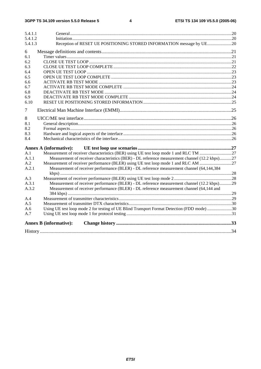#### $\overline{\mathbf{4}}$

| 5.4.1.1            |                                                                                                |  |
|--------------------|------------------------------------------------------------------------------------------------|--|
| 5.4.1.2<br>5.4.1.3 | Reception of RESET UE POSITIONING STORED INFORMATION message by UE20                           |  |
| 6                  |                                                                                                |  |
| 6.1                |                                                                                                |  |
| 6.2                |                                                                                                |  |
| 6.3                |                                                                                                |  |
| 6.4                |                                                                                                |  |
| 6.5                |                                                                                                |  |
| 6.6                |                                                                                                |  |
| 6.7                |                                                                                                |  |
| 6.8                |                                                                                                |  |
| 6.9                |                                                                                                |  |
| 6.10               |                                                                                                |  |
| 7                  |                                                                                                |  |
| 8                  |                                                                                                |  |
| 8.1                |                                                                                                |  |
| 8.2                |                                                                                                |  |
| 8.3                |                                                                                                |  |
| 8.4                |                                                                                                |  |
|                    | <b>Annex A (informative):</b>                                                                  |  |
| A.1                |                                                                                                |  |
| A.1.1              | Measurement of receiver characteristics (BER) - DL reference measurement channel (12.2 kbps)27 |  |
| A.2                | Measurement of receiver performance (BLER) using UE test loop mode 1 and RLC AM 27             |  |
| A.2.1              | Measurement of receiver performance (BLER) - DL reference measurement channel (64,144,384      |  |
| A.3                |                                                                                                |  |
| A.3.1              | Measurement of receiver performance (BLER) - DL reference measurement channel (12.2 kbps)29    |  |
| A.3.2              | Measurement of receiver performance (BLER) - DL reference measurement channel (64,144 and      |  |
| A.4                |                                                                                                |  |
| A.5                |                                                                                                |  |
| A.6                | Using UE test loop mode 2 for testing of UE Blind Transport Format Detection (FDD mode) 30     |  |
| A.7                |                                                                                                |  |
|                    | <b>Annex B</b> (informative):                                                                  |  |
|                    |                                                                                                |  |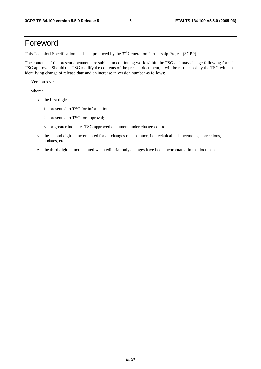# Foreword

This Technical Specification has been produced by the 3<sup>rd</sup> Generation Partnership Project (3GPP).

The contents of the present document are subject to continuing work within the TSG and may change following formal TSG approval. Should the TSG modify the contents of the present document, it will be re-released by the TSG with an identifying change of release date and an increase in version number as follows:

Version x.y.z

where:

- x the first digit:
	- 1 presented to TSG for information;
	- 2 presented to TSG for approval;
	- 3 or greater indicates TSG approved document under change control.
- y the second digit is incremented for all changes of substance, i.e. technical enhancements, corrections, updates, etc.
- z the third digit is incremented when editorial only changes have been incorporated in the document.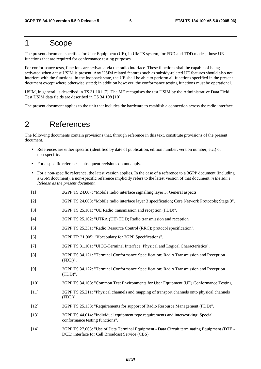# 1 Scope

The present document specifies for User Equipment (UE), in UMTS system, for FDD and TDD modes, those UE functions that are required for conformance testing purposes.

For conformance tests, functions are activated via the radio interface. These functions shall be capable of being activated when a test USIM is present. Any USIM related features such as subsidy-related UE features should also not interfere with the functions. In the loopback state, the UE shall be able to perform all functions specified in the present document except where otherwise stated; in addition however, the conformance testing functions must be operational.

USIM, in general, is described in TS 31.101 [7]. The ME recognises the test USIM by the Administrative Data Field. Test USIM data fields are described in TS 34.108 [10].

The present document applies to the unit that includes the hardware to establish a connection across the radio interface.

# 2 References

The following documents contain provisions that, through reference in this text, constitute provisions of the present document.

- References are either specific (identified by date of publication, edition number, version number, etc.) or non-specific.
- For a specific reference, subsequent revisions do not apply.
- For a non-specific reference, the latest version applies. In the case of a reference to a 3GPP document (including a GSM document), a non-specific reference implicitly refers to the latest version of that document *in the same Release as the present document*.
- [1] 3GPP TS 24.007: "Mobile radio interface signalling layer 3; General aspects".
- [2] 3GPP TS 24.008: "Mobile radio interface layer 3 specification; Core Network Protocols; Stage 3".
- [3] 3GPP TS 25.101: "UE Radio transmission and reception (FDD)".
- [4] 3GPP TS 25.102: "UTRA (UE) TDD; Radio transmission and reception".
- [5] 3GPP TS 25.331: "Radio Resource Control (RRC); protocol specification".
- [6] 3GPP TR 21.905: "Vocabulary for 3GPP Specifications".
- [7] 3GPP TS 31.101: "UICC-Terminal Interface; Physical and Logical Characteristics".
- [8] 3GPP TS 34.121: "Terminal Conformance Specification; Radio Transmission and Reception (FDD)".
- [9] 3GPP TS 34.122: "Terminal Conformance Specification; Radio Transmission and Reception (TDD)".
- [10] 3GPP TS 34.108: "Common Test Environments for User Equipment (UE) Conformance Testing".
- [11] 3GPP TS 25.211: "Physical channels and mapping of transport channels onto physical channels (FDD)".
- [12] 3GPP TS 25.133: "Requirements for support of Radio Resource Management (FDD)".
- [13] 3GPP TS 44.014: "Individual equipment type requirements and interworking; Special conformance testing functions".
- [14] 3GPP TS 27.005: "Use of Data Terminal Equipment Data Circuit terminating Equipment (DTE DCE) interface for Cell Broadcast Service (CBS)".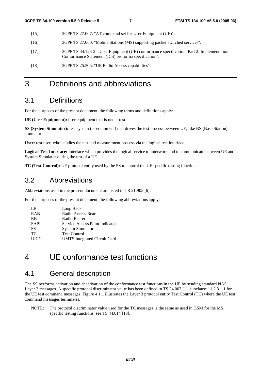- [15] 3GPP TS 27.007: "AT command set for User Equipment (UE)".
- [16] 3GPP TS 27.060: "Mobile Stations (MS) supporting packet switched services".
- [17] 3GPP TS 34.123-2: "User Equipment (UE) conformance specification; Part 2: Implementation Conformance Statement (ICS) proforma specification".
- [18] 3GPP TS 25.306: "UE Radio Access capabilities".

# 3 Definitions and abbreviations

### 3.1 Definitions

For the purposes of the present document, the following terms and definitions apply:

**UE (User Equipment):** user equipment that is under test.

**SS (System Simulator):** test system (or equipment) that drives the test process between UE, like BS (Base Station) simulator.

**User:** test user, who handles the test and measurement process via the logical test interface.

**Logical Test Interface:** interface which provides the logical service to interwork and to communicate between UE and System Simulator during the test of a UE.

**TC (Test Control):** UE protocol entity used by the SS to control the UE specific testing functions.

### 3.2 Abbreviations

Abbreviations used in the present document are listed in TR 21.905 [6].

For the purposes of the present document, the following abbreviations apply:

| LB          | Loop Back                           |
|-------------|-------------------------------------|
| <b>RAB</b>  | Radio Access Bearer                 |
| <b>RB</b>   | Radio Bearer                        |
| <b>SAPI</b> | Service Access Point Indicator      |
| SS          | <b>System Simulator</b>             |
| TC.         | <b>Test Control</b>                 |
| <b>UICC</b> | <b>UMTS</b> Integrated Circuit Card |

# 4 UE conformance test functions

### 4.1 General description

The SS performs activation and deactivation of the conformance test functions in the UE by sending standard NAS Layer 3 messages. A specific protocol discriminator value has been defined in TS 24.007 [1], subclause 11.2.3.1.1 for the UE test command messages. Figure 4.1.1 illustrates the Layer 3 protocol entity Test Control (TC) where the UE test command messages terminates.

NOTE: The protocol discriminator value used for the TC messages is the same as used in GSM for the MS specific testing functions, see TS 44.014 [13].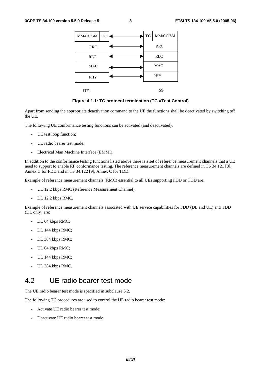| MM/CC/SM   | <b>TC</b> |  |  | $\text{MM/CC/SM}$<br>TC |    |  |
|------------|-----------|--|--|-------------------------|----|--|
| <b>RRC</b> |           |  |  | <b>RRC</b>              |    |  |
| <b>RLC</b> |           |  |  | <b>RLC</b>              |    |  |
| <b>MAC</b> |           |  |  | <b>MAC</b>              |    |  |
| <b>PHY</b> |           |  |  | <b>PHY</b>              |    |  |
| UE         |           |  |  |                         | SS |  |

**Figure 4.1.1: TC protocol termination (TC =Test Control)** 

Apart from sending the appropriate deactivation command to the UE the functions shall be deactivated by switching off the UE.

The following UE conformance testing functions can be activated (and deactivated):

- UE test loop function;
- UE radio bearer test mode;
- Electrical Man Machine Interface (EMMI).

In addition to the conformance testing functions listed above there is a set of reference measurement channels that a UE need to support to enable RF conformance testing. The reference measurement channels are defined in TS 34.121 [8], Annex C for FDD and in TS 34.122 [9], Annex C for TDD.

Example of reference measurement channels (RMC) essential to all UEs supporting FDD or TDD are:

- UL 12.2 kbps RMC (Reference Measurement Channel);
- DL 12.2 kbps RMC.

Example of reference measurement channels associated with UE service capabilities for FDD (DL and UL) and TDD (DL only) are:

- DL 64 kbps RMC;
- DL 144 kbps RMC;
- DL 384 kbps RMC;
- UL 64 kbps RMC;
- UL 144 kbps RMC;
- UL 384 kbps RMC.

### 4.2 UE radio bearer test mode

The UE radio bearer test mode is specified in subclause 5.2.

The following TC procedures are used to control the UE radio bearer test mode:

- Activate UE radio bearer test mode;
- Deactivate UE radio bearer test mode.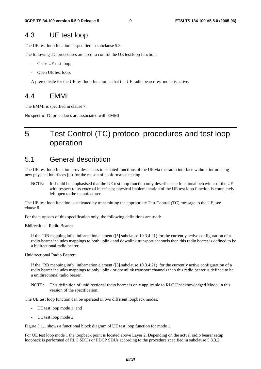### 4.3 UE test loop

The UE test loop function is specified in subclause 5.3.

The following TC procedures are used to control the UE test loop function:

- Close UE test loop;
- Open UE test loop.

A prerequisite for the UE test loop function is that the UE radio bearer test mode is active.

### 4.4 EMMI

The EMMI is specified in clause 7.

No specific TC procedures are associated with EMMI.

# 5 Test Control (TC) protocol procedures and test loop operation

### 5.1 General description

The UE test loop function provides access to isolated functions of the UE via the radio interface without introducing new physical interfaces just for the reason of conformance testing.

NOTE: It should be emphasised that the UE test loop function only describes the functional behaviour of the UE with respect to its external interfaces; physical implementation of the UE test loop function is completely left open to the manufacturer.

The UE test loop function is activated by transmitting the appropriate Test Control (TC) message to the UE, see clause 6.

For the purposes of this specification only, the following definitions are used:

Bidirectional Radio Bearer:

If the "RB mapping info" information element ([5] subclause 10.3.4.21) for the currently active configuration of a radio bearer includes mappings to both uplink and downlink transport channels then this radio bearer is defined to be a bidirectional radio bearer.

Unidirectional Radio Bearer:

If the "RB mapping info" information element ([5] subclause 10.3.4.21) for the currently active configuration of a radio bearer includes mappings to only uplink or downlink transport channels then this radio bearer is defined to be a unidirectional radio bearer.

NOTE: This definition of unidirectional radio bearer is only applicable to RLC Unacknowledged Mode, in this version of the specification.

The UE test loop function can be operated in two different loopback modes:

- UE test loop mode 1; and
- UE test loop mode 2.

Figure 5.1.1 shows a functional block diagram of UE test loop function for mode 1.

For UE test loop mode 1 the loopback point is located above Layer 2. Depending on the actual radio bearer setup loopback is performed of RLC SDUs or PDCP SDUs according to the procedure specified in subclause 5.3.3.2.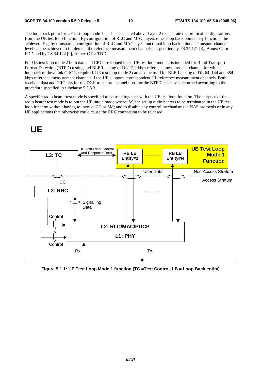The loop back point for UE test loop mode 1 has been selected above Layer 2 to separate the protocol configurations from the UE test loop function. By configuration of RLC and MAC layers other loop back points may functional be achieved. E.g. by transparent configuration of RLC and MAC layer functional loop back point at Transport channel level can be achieved to implement the reference measurement channels as specified by TS 34.121 [8], Annex C for FDD and by TS 34.122 [9], Annex C for TDD.

For UE test loop mode 2 both data and CRC are looped back. UE test loop mode 2 is intended for Blind Transport Format Detection (BTFD) testing and BLER testing of DL 12.2 kbps reference measurement channel for which loopback of downlink CRC is required. UE test loop mode 2 can also be used for BLER testing of DL 64, 144 and 384 kbps reference measurement channels if the UE supports correspondent UL reference measurement channels. Both received data and CRC bits for the DCH transport channel used for the BTFD test case is returned according to the procedure specified in subclause 5.3.3.3.

A specific radio bearer test mode is specified to be used together with the UE test loop function. The purpose of the radio bearer test mode is to put the UE into a mode where: SS can set up radio bearers to be terminated in the UE test loop function without having to involve CC or SM; and to disable any control mechanisms in NAS protocols or in any UE applications that otherwise could cause the RRC connection to be released.



**Figure 5.1.1: UE Test Loop Mode 1 function (TC =Test Control, LB = Loop Back entity)**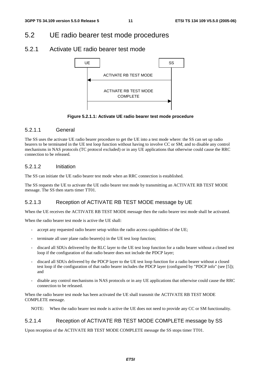# 5.2 UE radio bearer test mode procedures

### 5.2.1 Activate UE radio bearer test mode



**Figure 5.2.1.1: Activate UE radio bearer test mode procedure** 

### 5.2.1.1 General

The SS uses the activate UE radio bearer procedure to get the UE into a test mode where: the SS can set up radio bearers to be terminated in the UE test loop function without having to involve CC or SM; and to disable any control mechanisms in NAS protocols (TC protocol excluded) or in any UE applications that otherwise could cause the RRC connection to be released.

### 5.2.1.2 Initiation

The SS can initiate the UE radio bearer test mode when an RRC connection is established.

The SS requests the UE to activate the UE radio bearer test mode by transmitting an ACTIVATE RB TEST MODE message. The SS then starts timer TT01.

### 5.2.1.3 Reception of ACTIVATE RB TEST MODE message by UE

When the UE receives the ACTIVATE RB TEST MODE message then the radio bearer test mode shall be activated.

When the radio bearer test mode is active the UE shall:

- accept any requested radio bearer setup within the radio access capabilities of the UE;
- terminate all user plane radio bearer(s) in the UE test loop function;
- discard all SDUs delivered by the RLC layer to the UE test loop function for a radio bearer without a closed test loop if the configuration of that radio bearer does not include the PDCP layer;
- discard all SDUs delivered by the PDCP layer to the UE test loop function for a radio bearer without a closed test loop if the configuration of that radio bearer includes the PDCP layer (configured by "PDCP info" (see [5]); and
- disable any control mechanisms in NAS protocols or in any UE applications that otherwise could cause the RRC connection to be released.

When the radio bearer test mode has been activated the UE shall transmit the ACTIVATE RB TEST MODE COMPLETE message.

NOTE: When the radio bearer test mode is active the UE does not need to provide any CC or SM functionality.

### 5.2.1.4 Reception of ACTIVATE RB TEST MODE COMPLETE message by SS

Upon reception of the ACTIVATE RB TEST MODE COMPLETE message the SS stops timer TT01.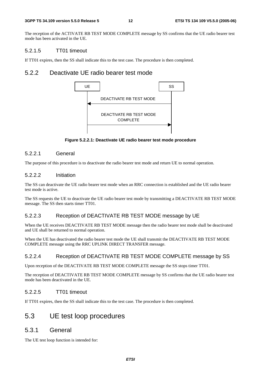The reception of the ACTIVATE RB TEST MODE COMPLETE message by SS confirms that the UE radio bearer test mode has been activated in the UE.

#### 5.2.1.5 TT01 timeout

If TT01 expires, then the SS shall indicate this to the test case. The procedure is then completed.

### 5.2.2 Deactivate UE radio bearer test mode



**Figure 5.2.2.1: Deactivate UE radio bearer test mode procedure** 

### 5.2.2.1 General

The purpose of this procedure is to deactivate the radio bearer test mode and return UE to normal operation.

#### 5.2.2.2 Initiation

The SS can deactivate the UE radio bearer test mode when an RRC connection is established and the UE radio bearer test mode is active.

The SS requests the UE to deactivate the UE radio bearer test mode by transmitting a DEACTIVATE RB TEST MODE message. The SS then starts timer TT01.

### 5.2.2.3 Reception of DEACTIVATE RB TEST MODE message by UE

When the UE receives DEACTIVATE RB TEST MODE message then the radio bearer test mode shall be deactivated and UE shall be returned to normal operation.

When the UE has deactivated the radio bearer test mode the UE shall transmit the DEACTIVATE RB TEST MODE COMPLETE message using the RRC UPLINK DIRECT TRANSFER message.

### 5.2.2.4 Reception of DEACTIVATE RB TEST MODE COMPLETE message by SS

Upon reception of the DEACTIVATE RB TEST MODE COMPLETE message the SS stops timer TT01.

The reception of DEACTIVATE RB TEST MODE COMPLETE message by SS confirms that the UE radio bearer test mode has been deactivated in the UE.

#### 5.2.2.5 TT01 timeout

If TT01 expires, then the SS shall indicate this to the test case. The procedure is then completed.

### 5.3 UE test loop procedures

### 5.3.1 General

The UE test loop function is intended for: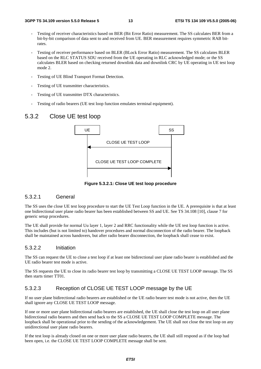- Testing of receiver characteristics based on BER (Bit Error Ratio) measurement. The SS calculates BER from a bit-by-bit comparison of data sent to and received from UE. BER measurement requires symmetric RAB bitrates.
- Testing of receiver performance based on BLER (BLock Error Ratio) measurement. The SS calculates BLER based on the RLC STATUS SDU received from the UE operating in RLC acknowledged mode; or the SS calculates BLER based on checking returned downlink data and downlink CRC by UE operating in UE test loop mode 2.
- Testing of UE Blind Transport Format Detection.
- Testing of UE transmitter characteristics.
- Testing of UE transmitter DTX characteristics.
- Testing of radio bearers (UE test loop function emulates terminal equipment).

### 5.3.2 Close UE test loop



**Figure 5.3.2.1: Close UE test loop procedure** 

#### 5.3.2.1 General

The SS uses the close UE test loop procedure to start the UE Test Loop function in the UE. A prerequisite is that at least one bidirectional user plane radio bearer has been established between SS and UE. See TS 34.108 [10], clause 7 for generic setup procedures.

The UE shall provide for normal Uu layer 1, layer 2 and RRC functionality while the UE test loop function is active. This includes (but is not limited to) handover procedures and normal disconnection of the radio bearer. The loopback shall be maintained across handovers, but after radio bearer disconnection, the loopback shall cease to exist.

#### 5.3.2.2 Initiation

The SS can request the UE to close a test loop if at least one bidirectional user plane radio bearer is established and the UE radio bearer test mode is active.

The SS requests the UE to close its radio bearer test loop by transmitting a CLOSE UE TEST LOOP message. The SS then starts timer TT01.

#### 5.3.2.3 Reception of CLOSE UE TEST LOOP message by the UE

If no user plane bidirectional radio bearers are established or the UE radio bearer test mode is not active, then the UE shall ignore any CLOSE UE TEST LOOP message.

If one or more user plane bidirectional radio bearers are established, the UE shall close the test loop on all user plane bidirectional radio bearers and then send back to the SS a CLOSE UE TEST LOOP COMPLETE message. The loopback shall be operational prior to the sending of the acknowledgement. The UE shall not close the test loop on any unidirectional user plane radio bearers.

If the test loop is already closed on one or more user plane radio bearers, the UE shall still respond as if the loop had been open, i.e. the CLOSE UE TEST LOOP COMPLETE message shall be sent.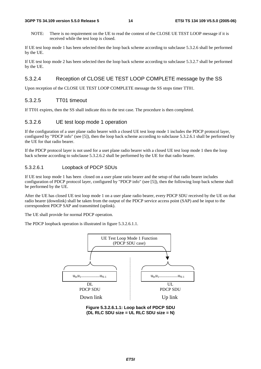#### **3GPP TS 34.109 version 5.5.0 Release 5 14 ETSI TS 134 109 V5.5.0 (2005-06)**

NOTE: There is no requirement on the UE to read the content of the CLOSE UE TEST LOOP message if it is received while the test loop is closed.

If UE test loop mode 1 has been selected then the loop back scheme according to subclause 5.3.2.6 shall be performed by the UE.

If UE test loop mode 2 has been selected then the loop back scheme according to subclause 5.3.2.7 shall be performed by the UE.

### 5.3.2.4 Reception of CLOSE UE TEST LOOP COMPLETE message by the SS

Upon reception of the CLOSE UE TEST LOOP COMPLETE message the SS stops timer TT01.

### 5.3.2.5 TT01 timeout

If TT01 expires, then the SS shall indicate this to the test case. The procedure is then completed.

### 5.3.2.6 UE test loop mode 1 operation

If the configuration of a user plane radio bearer with a closed UE test loop mode 1 includes the PDCP protocol layer, configured by "PDCP info" (see [5]), then the loop back scheme according to subclause 5.3.2.6.1 shall be performed by the UE for that radio bearer.

If the PDCP protocol layer is not used for a uset plane radio bearer with a closed UE test loop mode 1 then the loop back scheme according to subclause 5.3.2.6.2 shall be performed by the UE for that radio bearer.

### 5.3.2.6.1 Loopback of PDCP SDUs

If UE test loop mode 1 has been closed on a user plane ratio bearer and the setup of that radio bearer includes configuration of PDCP protocol layer, configured by "PDCP info" (see [5]), then the following loop back scheme shall be performed by the UE.

After the UE has closed UE test loop mode 1 on a user plane radio bearer, every PDCP SDU received by the UE on that radio bearer (downlink) shall be taken from the output of the PDCP service access point (SAP) and be input to the correspondent PDCP SAP and transmitted (uplink).

The UE shall provide for normal PDCP operation.

The PDCP loopback operation is illustrated in figure 5.3.2.6.1.1.



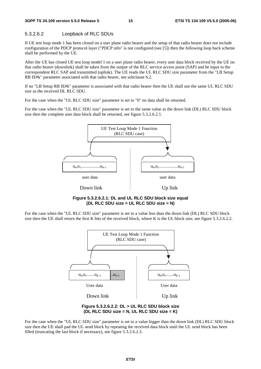### 5.3.2.6.2 Loopback of RLC SDUs

If UE test loop mode 1 has been closed on a user plane radio bearer and the setup of that radio bearer does not include configuration of the PDCP protocol layer ("PDCP info" is not configured (see [5]) then the following loop back scheme shall be performed by the UE.

After the UE has closed UE test loop model 1 on a user plane radio bearer, every user data block received by the UE on that radio bearer (downlink) shall be taken from the output of the RLC service access point (SAP) and be input to the correspondent RLC SAP and transmitted (uplink). The UE reads the UL RLC SDU size parameter from the "LB Setup RB IE#k" parameter associated with that radio bearer, see subclause 6.2.

If no "LB Setup RB IE#k" parameter is associated with that radio bearer then the UE shall use the same UL RLC SDU size as the received DL RLC SDU.

For the case when the "UL RLC SDU size" parameter is set to "0" no data shall be returned.

For the case when the "UL RLC SDU size" parameter is set to the same value as the down link (DL) RLC SDU block size then the complete user data block shall be returned, see figure 5.3.2.6.2.1.



**Figure 5.3.2.6.2.1: DL and UL RLC SDU block size equal (DL RLC SDU size = UL RLC SDU size = N)** 

For the case when the "UL RLC SDU size" parameter is set to a value less than the down link (DL) RLC SDU block size then the UE shall return the first K bits of the received block, where K is the UL block size, see figure 5.3.2.6.2.2.





For the case when the "UL RLC SDU size" parameter is set to a value bigger than the down link (DL) RLC SDU block size then the UE shall pad the UL send block by repeating the received data block until the UL send block has been filled (truncating the last block if necessary), see figure 5.3.2.6.2.3.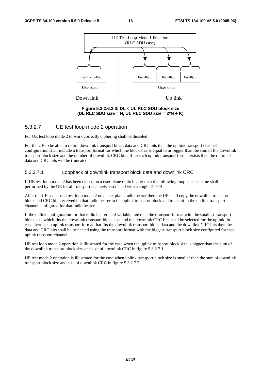

**Figure 5.3.2.6.2.3: DL < UL RLC SDU block size (DL RLC SDU size = N, UL RLC SDU size = 2\*N + K)** 

#### 5.3.2.7 UE test loop mode 2 operation

For UE test loop mode 2 to work correctly ciphering shall be disabled.

For the UE to be able to return downlink transport block data and CRC bits then the up link transport channel configuration shall include a transport format for which the block size is equal to or bigger than the sum of the downlink transport block size and the number of downlink CRC bits. If no such uplink transport format exists then the returned data and CRC bits will be truncated.

#### 5.3.2.7.1 Loopback of downlink transport block data and downlink CRC

If UE test loop mode 2 has been closed on a user plane radio bearer then the following loop back scheme shall be performed by the UE for all transport channels associated with a single DTCH:

After the UE has closed test loop mode 2 on a user plane radio bearer then the UE shall copy the downlink transport block and CRC bits received on that radio bearer to the uplink transport block and transmit in the up link transport channel configured for that radio bearer.

If the uplink configuration for that radio bearer is of variable rate then the transport format with the smallest transport block size which fits the downlink transport block size and the downlink CRC bits shall be selected for the uplink. In case there is no uplink transport format that fits the downlink transport block data and the downlink CRC bits then the data and CRC bits shall be truncated using the transport format with the biggest transport block size configured for that uplink transport channel.

UE test loop mode 2 operation is illustrated for the case when the uplink transport block size is bigger than the sum of the downlink transport block size and size of downlink CRC in figure 5.3.2.7.1.

UE test mode 2 operation is illustrated for the case when uplink transport block size is smaller than the sum of downlink transport block size and size of downlink CRC in figure 5.3.2.7.2.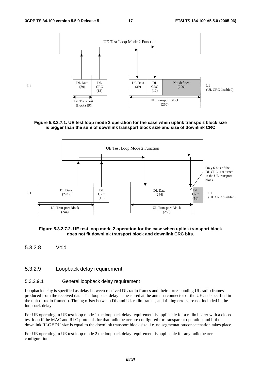$L_1$ 







**Figure 5.3.2.7.2. UE test loop mode 2 operation for the case when uplink transport block does not fit downlink transport block and downlink CRC bits.** 

5.3.2.8 Void

#### 5.3.2.9 Loopback delay requirement

#### 5.3.2.9.1 General loopback delay requirement

Loopback delay is specified as delay between received DL radio frames and their corresponding UL radio frames produced from the received data. The loopback delay is measured at the antenna connector of the UE and specified in the unit of radio frame(s). Timing offset between DL and UL radio frames, and timing errors are not included in the loopback delay.

For UE operating in UE test loop mode 1 the loopback delay requirement is applicable for a radio bearer with a closed test loop if the MAC and RLC protocols for that radio bearer are configured for transparent operation and if the downlink RLC SDU size is equal to the downlink transport block size, i.e. no segmentation/concatenation takes place.

For UE operating in UE test loop mode 2 the loopback delay requirement is applicable for any radio bearer configuration.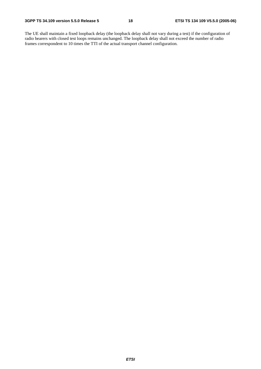The UE shall maintain a fixed loopback delay (the loopback delay shall not vary during a test) if the configuration of radio bearers with closed test loops remains unchanged. The loopback delay shall not exceed the number of radio frames correspondent to 10 times the TTI of the actual transport channel configuration.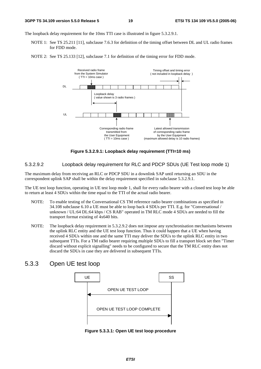The loopback delay requirement for the 10ms TTI case is illustrated in figure 5.3.2.9.1.

- NOTE 1: See TS 25.211 [11], subclause 7.6.3 for definition of the timing offset between DL and UL radio frames for FDD mode.
- NOTE 2: See TS 25.133 [12], subclause 7.1 for definition of the timing error for FDD mode.



**Figure 5.3.2.9.1: Loopback delay requirement (TTI=10 ms)** 

5.3.2.9.2 Loopback delay requirement for RLC and PDCP SDUs (UE Test loop mode 1)

The maximum delay from receiving an RLC or PDCP SDU in a downlink SAP until returning an SDU in the correspondent uplink SAP shall be within the delay requirement specified in subclause 5.3.2.9.1.

The UE test loop function, operating in UE test loop mode 1, shall for every radio bearer with a closed test loop be able to return at least 4 SDUs within the time equal to the TTI of the actual radio bearer.

- NOTE: To enable testing of the Conversational CS TM reference radio bearer combinations as specified in 34.108 subclause 6.10 a UE must be able to loop back 4 SDUs per TTI. E.g. for "Conversational / unknown / UL:64 DL:64 kbps / CS RAB" operated in TM RLC mode 4 SDUs are needed to fill the transport format existing of 4x640 bits.
- NOTE: The loopback delay requirement in 5.3.2.9.2 does not impose any synchronisation mechanisms between the uplink RLC entity and the UE test loop function. Thus it could happen that a UE when having received 4 SDUs within one and the same TTI may deliver the SDUs to the uplink RLC entity in two subsequent TTIs. For a TM radio bearer requiring multiple SDUs to fill a transport block set then "Timer discard without explicit signalling" needs to be configured to secure that the TM RLC entity does not discard the SDUs in case they are delivered in subsequent TTIs.

### 5.3.3 Open UE test loop



**Figure 5.3.3.1: Open UE test loop procedure**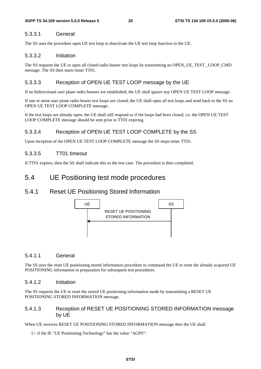#### 5.3.3.1 General

The SS uses the procedure open UE test loop to deactivate the UE test loop function in the UE.

#### 5.3.3.2 Initiation

The SS requests the UE to open all closed radio bearer test loops by transmitting an OPEN\_UE\_TEST \_LOOP\_CMD message. The SS then starts timer TT01.

### 5.3.3.3 Reception of OPEN UE TEST LOOP message by the UE

If no bidirectional user plane radio bearers are established, the UE shall ignore any OPEN UE TEST LOOP message.

If one or more user plane radio bearer test loops are closed, the UE shall open all test loops and send back to the SS an OPEN UE TEST LOOP COMPLETE message.

If the test loops are already open, the UE shall still respond as if the loops had been closed, i.e. the OPEN UE TEST LOOP COMPLETE message should be sent prior to TT01 expiring.

### 5.3.3.4 Reception of OPEN UE TEST LOOP COMPLETE by the SS

Upon reception of the OPEN UE TEST LOOP COMPLETE message the SS stops timer TT01.

#### 5.3.3.5 TT01 timeout

If TT01 expires, then the SS shall indicate this to the test case. The procedure is then completed.

### 5.4 UE Positioning test mode procedures

### 5.4.1 Reset UE Positioning Stored Information



#### 5.4.1.1 General

The SS uses the reset UE positioning stored information procedure to command the UE to reset the already acquired UE POSITIONING information in preparation for subsequent test procedures.

#### 5.4.1.2 Initiation

The SS requests the UE to reset the stored UE positioning information mode by transmitting a RESET UE POSITIONING STORED INFORMATION message.

#### 5.4.1.3 Reception of RESET UE POSITIONING STORED INFORMATION message by UE

When UE receives RESET UE POSITIONING STORED INFORMATION message then the UE shall:

1> if the IE "UE Positioning Technology" has the value "AGPS":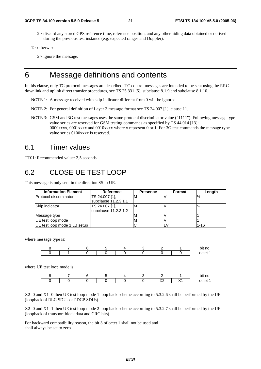2> discard any stored GPS reference time, reference position, and any other aiding data obtained or derived during the previous test instance (e.g. expected ranges and Doppler).

```
1> otherwise:
```
2> ignore the message.

# 6 Message definitions and contents

In this clause, only TC protocol messages are described. TC control messages are intended to be sent using the RRC downlink and uplink direct transfer procedures, see TS 25.331 [5], subclause 8.1.9 and subclause 8.1.10.

- NOTE 1: A message received with skip indicator different from 0 will be ignored.
- NOTE 2: For general definition of Layer 3 message format see TS 24.007 [1], clause 11.
- NOTE 3: GSM and 3G test messages uses the same protocol discriminator value ("1111"). Following message type value series are reserved for GSM testing commands as specified by TS 44.014 [13]: 0000xxxx, 0001xxxx and 0010xxxx where x represent 0 or 1. For 3G test commands the message type value series 0100xxxx is reserved.

### 6.1 Timer values

TT01: Recommended value: 2,5 seconds.

### 6.2 CLOSE UE TEST LOOP

This message is only sent in the direction SS to UE.

| <b>Information Element</b>    | Reference                              | <b>Presence</b> | Format | Length   |
|-------------------------------|----------------------------------------|-----------------|--------|----------|
| <b>Protocol discriminator</b> | TS 24.007 [1],<br>subclause 11.2.3.1.1 | M               |        |          |
| Skip indicator                | TS 24.007 [1],<br>subclause 11.2.3.1.2 | M               |        |          |
| Message type                  |                                        | ΙVΙ             |        |          |
| UE test loop mode             |                                        |                 |        |          |
| UE test loop mode 1 LB setup  |                                        |                 |        | $1 - 16$ |

where message type is:

where

|                       | h | э |  |    |      | bit no.<br>octet 1 |
|-----------------------|---|---|--|----|------|--------------------|
| UE test loop mode is: |   |   |  |    |      |                    |
|                       |   | э |  |    |      | bit no.            |
|                       |   |   |  | X2 | ⁄\ I | octet 1            |

X2=0 and X1=0 then UE test loop mode 1 loop back scheme according to 5.3.2.6 shall be performed by the UE (loopback of RLC SDUs or PDCP SDUs).

X2=0 and X1=1 then UE test loop mode 2 loop back scheme according to 5.3.2.7 shall be performed by the UE (loopback of transport block data and CRC bits).

For backward compatibility reason, the bit 3 of octet 1 shall not be used and shall always be set to zero.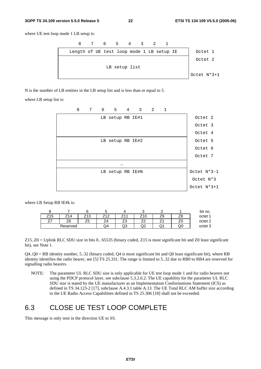#### **3GPP TS 34.109 version 5.5.0 Release 5 22 ETSI TS 134 109 V5.5.0 (2005-06)**

where UE test loop mode 1 LB setup is:



N is the number of LB entities in the LB setup list and is less than or equal to 5.

where LB setup list is:



where LB Setup RB IE#k is:

|                           |          |                             |      |         |     |    |    | bit no.            |
|---------------------------|----------|-----------------------------|------|---------|-----|----|----|--------------------|
| ıς<br>74<br>w<br><u>.</u> |          | $\sqrt{2}$<br>u<br><u>.</u> | 74 7 | 74      | Z10 | ∠৬ | ∠a | octet 1            |
| --                        | Z6       | ںے                          |      | ᢇ<br>ںے |     |    |    | octet <sub>2</sub> |
|                           | Reserved |                             | Q4   | שע      | ◡   | ◡  | QU | octet 3            |

Z15..Z0 = Uplink RLC SDU size in bits 0.. 65535 (binary coded, Z15 is most significant bit and Z0 least significant bit), see Note 1.

 $Q4. Q0 = RB$  identity number, 5..32 (binary coded,  $Q4$  is most significant bit and  $Q0$  least significant bit), where RB identity identifies the radio bearer, see [5] TS 25.331. The range is limited to 5..32 due to RB0 to RB4 are reserved for signalling radio bearers.

NOTE: The parameter UL RLC SDU size is only applicable for UE test loop mode 1 and for radio bearers not using the PDCP protocol layer, see subclause 5.3.2.6.2. The UE capability for the parameter UL RLC SDU size is stated by the UE manufacturer as an Implementation Conformations Statement (ICS) as defined in TS 34.123-2 [17], subclause A.4.3.1 table A.13. The UE Total RLC AM buffer size according to the UE Radio Access Capabilities defined in TS 25.306 [18] shall not be exceeded.

# 6.3 CLOSE UE TEST LOOP COMPLETE

This message is only sent in the direction UE to SS.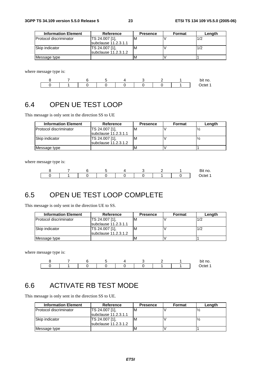| <b>Information Element</b> | Reference              | <b>Presence</b> | Format | Length |
|----------------------------|------------------------|-----------------|--------|--------|
| Protocol discriminator     | TS 24.007 [1].         | м               |        | 1/2    |
|                            | subclause 11.2.3.1.1   |                 |        |        |
| Skip indicator             | TS 24.007 [1].         | м               |        | 1/2    |
|                            | subclause $11.2.3.1.2$ |                 |        |        |
| Message type               |                        | ιM              |        |        |

where message type is:



# 6.4 OPEN UE TEST LOOP

This message is only sent in the direction SS to UE

| <b>Information Element</b>     | Reference                              | <b>Presence</b> | Format | Length |
|--------------------------------|----------------------------------------|-----------------|--------|--------|
| <b>IProtocol discriminator</b> | TS 24.007 [1],<br>subclause 11.2.3.1.1 | ιM              |        |        |
| <b>Skip indicator</b>          | TS 24.007 [1],<br>subclause 11.2.3.1.2 | ιM              |        |        |
| Message type                   |                                        | ΙM              |        |        |

where message type is:



# 6.5 OPEN UE TEST LOOP COMPLETE

This message is only sent in the direction UE to SS.

| <b>Information Element</b> | Reference                    | <b>Presence</b> | Format | Length |
|----------------------------|------------------------------|-----------------|--------|--------|
| Protocol discriminator     | TS 24.007 [1],               | ΙVΙ             |        | 1/2    |
|                            | <b>Isubclause 11.2.3.1.1</b> |                 |        |        |
| Skip indicator             | TS 24.007 [1].               | 'M              |        | 1/2    |
|                            | subclause 11.2.3.1.2         |                 |        |        |
| Message type               |                              |                 |        |        |

where message type is:



# 6.6 ACTIVATE RB TEST MODE

This message is only sent in the direction SS to UE.

| <b>Information Element</b>    | Reference              | <b>Presence</b> | Format | Length |
|-------------------------------|------------------------|-----------------|--------|--------|
| <b>Protocol discriminator</b> | TS 24.007 [1],         | M               |        |        |
|                               | subclause 11.2.3.1.1   |                 |        |        |
| Skip indicator                | TS 24.007 [1],         | M               |        |        |
|                               | $subclause$ 11.2.3.1.2 |                 |        |        |
| Message type                  |                        |                 |        |        |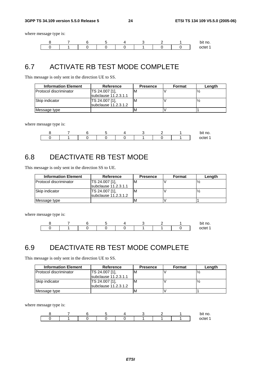where message type is:



# 6.7 ACTIVATE RB TEST MODE COMPLETE

This message is only sent in the direction UE to SS.

| <b>Information Element</b>     | Reference              | <b>Presence</b> | Format | Length |
|--------------------------------|------------------------|-----------------|--------|--------|
| <b>IProtocol discriminator</b> | TS 24.007 [1].         |                 |        |        |
|                                | subclause $11.2.3.1.1$ |                 |        |        |
| Skip indicator                 | TS 24.007 [1].         | M               |        |        |
|                                | subclause 11.2.3.1.2   |                 |        |        |
| Message type                   |                        |                 |        |        |

where message type is:

|  |  |  |  | bit no. |
|--|--|--|--|---------|
|  |  |  |  | netet   |

# 6.8 DEACTIVATE RB TEST MODE

This message is only sent in the direction SS to UE.

| <b>Information Element</b>    | Reference              | <b>Presence</b> | Format | Length |
|-------------------------------|------------------------|-----------------|--------|--------|
| <b>Protocol discriminator</b> | TS 24.007 [1],         | M               |        |        |
|                               | subclause 11.2.3.1.1   |                 |        |        |
| Skip indicator                | TS 24.007 [1],         | M               |        |        |
|                               | subclause $11.2.3.1.2$ |                 |        |        |
| Message type                  |                        |                 |        |        |

where message type is:



# 6.9 DEACTIVATE RB TEST MODE COMPLETE

This message is only sent in the direction UE to SS.

| <b>Information Element</b>     | Reference                              | <b>Presence</b> | Format | Length |
|--------------------------------|----------------------------------------|-----------------|--------|--------|
| <b>IProtocol discriminator</b> | TS 24.007 [1].<br>subclause 11.2.3.1.1 | ΙM              |        |        |
| Skip indicator                 | TS 24.007 [1].<br>subclause 11.2.3.1.2 | ıм              |        |        |
| Message type                   |                                        |                 |        |        |

where message type is:

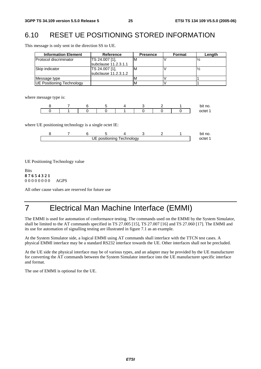# 6.10 RESET UE POSITIONING STORED INFORMATION

This message is only sent in the direction SS to UE.

| <b>Information Element</b>       | Reference                              | <b>Presence</b> | <b>Format</b> | Length |
|----------------------------------|----------------------------------------|-----------------|---------------|--------|
| <b>Protocol discriminator</b>    | TS 24.007 [1],<br>subclause 11.2.3.1.1 | M               |               |        |
| Skip indicator                   | TS 24.007 [1],<br>subclause 11.2.3.1.2 | M               |               |        |
| Message type                     |                                        |                 |               |        |
| <b>UE Positioning Technology</b> |                                        |                 |               |        |

where message type is:

|  |  |  |  | bit no. |
|--|--|--|--|---------|
|  |  |  |  | octet   |

where UE positioning technology is a single octet IE:

|                                        |  |  |  |  |  |  |  | bit<br>∵t no. |  |
|----------------------------------------|--|--|--|--|--|--|--|---------------|--|
| positioning<br><b>Lechnology</b><br>UE |  |  |  |  |  |  |  |               |  |

UE Positioning Technology value

Bits **8 7 6 5 4 3 2 1** 0 0 0 0 0 0 0 0 AGPS

All other cause values are reserved for future use

# 7 Electrical Man Machine Interface (EMMI)

The EMMI is used for automation of conformance testing. The commands used on the EMMI by the System Simulator, shall be limited to the AT commands specified in TS 27.005 [15], TS 27.007 [16] and TS 27.060 [17]. The EMMI and its use for automation of signalling testing are illustrated in figure 7.1 as an example.

At the System Simulator side, a logical EMMI using AT commands shall interface with the TTCN test cases. A physical EMMI interface may be a standard RS232 interface towards the UE. Other interfaces shall not be precluded.

At the UE side the physical interface may be of various types, and an adapter may be provided by the UE manufacturer for converting the AT commands between the System Simulator interface into the UE manufacturer specific interface and format.

The use of EMMI is optional for the UE.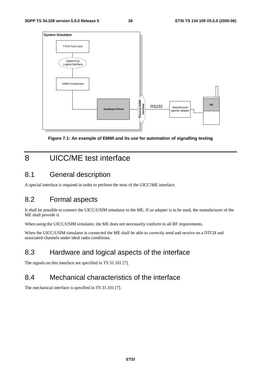

**Figure 7.1: An example of EMMI and its use for automation of signalling testing** 

# 8 UICC/ME test interface

### 8.1 General description

A special interface is required in order to perform the tests of the UICC/ME interface.

### 8.2 Formal aspects

It shall be possible to connect the UICC/USIM simulator to the ME. If an adapter is to be used, the manufacturer of the ME shall provide it.

When using the UICC/USIM simulator, the ME does not necessarily conform to all RF requirements.

When the UICC/USIM simulator is connected the ME shall be able to correctly send and receive on a DTCH and associated channels under ideal radio conditions.

# 8.3 Hardware and logical aspects of the interface

The signals on this interface are specified in TS 31.101 [7].

# 8.4 Mechanical characteristics of the interface

The mechanical interface is specified in TS 31.101 [7].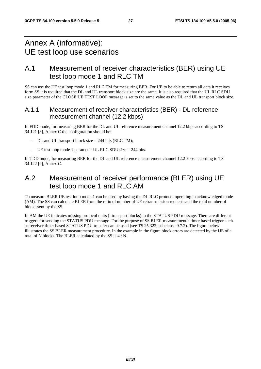# Annex A (informative): UE test loop use scenarios

### A.1 Measurement of receiver characteristics (BER) using UE test loop mode 1 and RLC TM

SS can use the UE test loop mode 1 and RLC TM for measuring BER. For UE to be able to return all data it receives form SS it is required that the DL and UL transport block size are the same. It is also required that the UL RLC SDU size parameter of the CLOSE UE TEST LOOP message is set to the same value as the DL and UL transport block size.

### A.1.1 Measurement of receiver characteristics (BER) - DL reference measurement channel (12.2 kbps)

In FDD mode, for measuring BER for the DL and UL reference measurement channel 12.2 kbps according to TS 34.121 [8], Annex C the configuration should be:

- $DL$  and UL transport block size = 244 bits (RLC TM);
- UE test loop mode 1 parameter UL RLC SDU size = 244 bits.

In TDD mode, for measuring BER for the DL and UL reference measurement channel 12.2 kbps according to TS 34.122 [9], Annex C.

# A.2 Measurement of receiver performance (BLER) using UE test loop mode 1 and RLC AM

To measure BLER UE test loop mode 1 can be used by having the DL RLC protocol operating in acknowledged mode (AM). The SS can calculate BLER from the ratio of number of UE retransmission requests and the total number of blocks sent by the SS.

In AM the UE indicates missing protocol units (=transport blocks) in the STATUS PDU message. There are different triggers for sending the STATUS PDU message. For the purpose of SS BLER measurement a timer based trigger such as receiver timer based STATUS PDU transfer can be used (see TS 25.322, subclause 9.7.2). The figure below illustrates the SS BLER measurement procedure. In the example in the figure block errors are detected by the UE of a total of N blocks. The BLER calculated by the SS is 4 / N.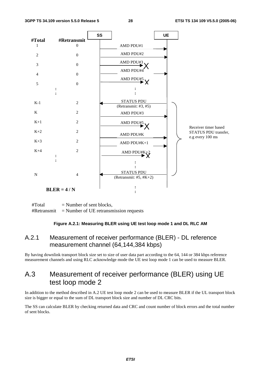

 $#Total$  = Number of sent blocks,  $#Retransmit$  = Number of UE retransmission requests

#### **Figure A.2.1: Measuring BLER using UE test loop mode 1 and DL RLC AM**

### A.2.1 Measurement of receiver performance (BLER) - DL reference measurement channel (64,144,384 kbps)

By having downlink transport block size set to size of user data part according to the 64, 144 or 384 kbps reference measurement channels and using RLC acknowledge mode the UE test loop mode 1 can be used to measure BLER.

### A.3 Measurement of receiver performance (BLER) using UE test loop mode 2

In addition to the method described in A.2 UE test loop mode 2 can be used to measure BLER if the UL transport block size is bigger or equal to the sum of DL transport block size and number of DL CRC bits.

The SS can calculate BLER by checking returned data and CRC and count number of block errors and the total number of sent blocks.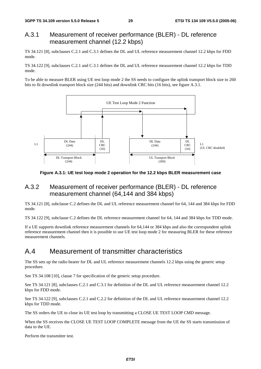### A.3.1 Measurement of receiver performance (BLER) - DL reference measurement channel (12.2 kbps)

TS 34.121 [8], subclauses C.2.1 and C.3.1 defines the DL and UL reference measurement channel 12.2 kbps for FDD mode.

TS 34.122 [9], subclauses C.2.1 and C.3.1 defines the DL and UL reference measurement channel 12.2 kbps for TDD mode.

To be able to measure BLER using UE test loop mode 2 the SS needs to configure the uplink transport block size to 260 bits to fit downlink transport block size (244 bits) and downlink CRC bits (16 bits), see figure A.3.1.



**Figure A.3.1: UE test loop mode 2 operation for the 12.2 kbps BLER measurement case** 

### A.3.2 Measurement of receiver performance (BLER) - DL reference measurement channel (64,144 and 384 kbps)

TS 34.121 [8], subclause C.2 defines the DL and UL reference measurement channel for 64, 144 and 384 kbps for FDD mode.

TS 34.122 [9], subclause C.2 defines the DL reference measurement channel for 64, 144 and 384 kbps for TDD mode.

If a UE supports downlink reference measurement channels for 64,144 or 384 kbps and also the correspondent uplink reference measurement channel then it is possible to use UE test loop mode 2 for measuring BLER for these reference measurement channels.

# A.4 Measurement of transmitter characteristics

The SS sets up the radio bearer for DL and UL reference measurement channels 12.2 kbps using the generic setup procedure.

See TS 34.108 [10], clause 7 for specification of the generic setup procedure.

See TS 34.121 [8], subclauses C.2.1 and C.3.1 for definition of the DL and UL reference measurement channel 12.2 kbps for FDD mode.

See TS 34.122 [9], subclauses C.2.1 and C.2.2 for definition of the DL and UL reference measurement channel 12.2 kbps for TDD mode.

The SS orders the UE to close its UE test loop by transmitting a CLOSE UE TEST LOOP CMD message.

When the SS receives the CLOSE UE TEST LOOP COMPLETE message from the UE the SS starts transmission of data to the UE.

Perform the transmitter test.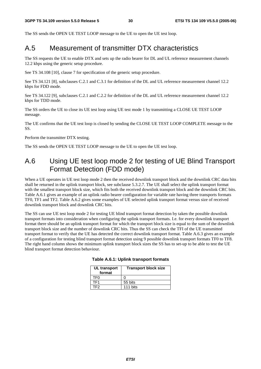The SS sends the OPEN UE TEST LOOP message to the UE to open the UE test loop.

### A.5 Measurement of transmitter DTX characteristics

The SS requests the UE to enable DTX and sets up the radio bearer for DL and UL reference measurement channels 12.2 kbps using the generic setup procedure.

See TS 34.108 [10], clause 7 for specification of the generic setup procedure.

See TS 34.121 [8], subclauses C.2.1 and C.3.1 for definition of the DL and UL reference measurement channel 12.2 kbps for FDD mode.

See TS 34.122 [9], subclauses C.2.1 and C.2.2 for definition of the DL and UL reference measurement channel 12.2 kbps for TDD mode.

The SS orders the UE to close its UE test loop using UE test mode 1 by transmitting a CLOSE UE TEST LOOP message.

The UE confirms that the UE test loop is closed by sending the CLOSE UE TEST LOOP COMPLETE message to the SS.

Perform the transmitter DTX testing.

The SS sends the OPEN UE TEST LOOP message to the UE to open the UE test loop.

# A.6 Using UE test loop mode 2 for testing of UE Blind Transport Format Detection (FDD mode)

When a UE operates in UE test loop mode 2 then the received downlink transport block and the downlink CRC data bits shall be returned in the uplink transport block, see subclause 5.3.2.7. The UE shall select the uplink transport format with the smallest transport block size, which fits both the received downlink transport block and the downlink CRC bits. Table A.6.1 gives an example of an uplink radio bearer configuration for variable rate having three transports formats TF0, TF1 and TF2. Table A.6.2 gives some examples of UE selected uplink transport format versus size of received downlink transport block and downlink CRC bits.

The SS can use UE test loop mode 2 for testing UE blind transport format detection by taken the possible downlink transport formats into consideration when configuring the uplink transport formats. I.e. for every downlink transport format there should be an uplink transport format for which the transport block size is equal to the sum of the downlink transport block size and the number of downlink CRC bits. Thus the SS can check the TFI of the UE transmitted transport format to verify that the UE has detected the correct downlink transport format. Table A.6.3 gives an example of a configuration for testing blind transport format detection using 9 possible downlink transport formats TF0 to TF8. The right hand column shows the minimum uplink transport block sizes the SS has to set-up to be able to test the UE blind transport format detection behaviour.

| UL transport<br>format | <b>Transport block size</b> |
|------------------------|-----------------------------|
| TF0                    |                             |
| TF <sub>1</sub>        | 55 bits                     |
| TF2                    | 111 bits                    |

#### **Table A.6.1: Uplink transport formats**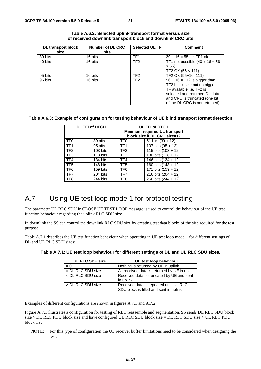| DL transport block | <b>Number of DL CRC</b> | <b>Selected UL TF</b> | <b>Comment</b>                    |
|--------------------|-------------------------|-----------------------|-----------------------------------|
| size               | <b>bits</b>             |                       |                                   |
| 39 bits            | 16 bits                 | TF1                   | $39 + 16 = 55$ i.e. TF1 ok        |
| 40 bits            | 16 bits                 | TF <sub>2</sub>       | TF1 not possible $(40 + 16 = 56)$ |
|                    |                         |                       | > 55                              |
|                    |                         |                       | TF2 OK (56 < 111)                 |
| 95 bits            | 16 bits                 | TF <sub>2</sub>       | TF2 OK (95+16=111)                |
| 96 bits            | 16 bits                 | TF <sub>2</sub>       | $96 + 16 = 112$ is bigger than    |
|                    |                         |                       | TF2 block size but no bigger      |
|                    |                         |                       | TF available i.e. TF2 is          |
|                    |                         |                       | selected and returned DL data     |
|                    |                         |                       | and CRC is truncated (one bit     |
|                    |                         |                       | of the DL CRC is not returned)    |

| Table A.6.2: Selected uplink transport format versus size  |  |
|------------------------------------------------------------|--|
| of received downlink transport block and downlink CRC bits |  |

#### **Table A.6.3: Example of configuration for testing behaviour of UE blind transport format detection**

|                 | <b>DL TFI of DTCH</b> | UL TFI of DTCH<br>Minimum required UL transport<br>block size if DL CRC size=12 |                       |  |
|-----------------|-----------------------|---------------------------------------------------------------------------------|-----------------------|--|
| TF <sub>0</sub> | 39 bits               | TF <sub>0</sub>                                                                 | 51 bits $(39 + 12)$   |  |
| TF <sub>1</sub> | 95 bits               | TF <sub>1</sub>                                                                 | 107 bits $(95 + 12)$  |  |
| TF <sub>2</sub> | 103 bits              | TF <sub>2</sub>                                                                 | 115 bits $(103 + 12)$ |  |
| TF <sub>3</sub> | 118 bits              | TF3                                                                             | 130 bits $(118 + 12)$ |  |
| TF4             | 134 bits              | TF4                                                                             | 146 bits (134 + 12)   |  |
| TF <sub>5</sub> | 148 bits              | TF <sub>5</sub>                                                                 | 160 bits $(148 + 12)$ |  |
| TF <sub>6</sub> | 159 bits              | TF <sub>6</sub>                                                                 | 171 bits $(159 + 12)$ |  |
| TF7             | 204 bits              | TF7                                                                             | 216 bits $(204 + 12)$ |  |
| TF <sub>8</sub> | 244 bits              | TF8                                                                             | 256 bits (244 + 12)   |  |

# A.7 Using UE test loop mode 1 for protocol testing

The parameter UL RLC SDU in CLOSE UE TEST LOOP message is used to control the behaviour of the UE test function behaviour regarding the uplink RLC SDU size.

In downlink the SS can control the downlink RLC SDU size by creating test data blocks of the size required for the test purpose.

Table A.7.1 describes the UE test function behaviour when operating in UE test loop mode 1 for different settings of DL and UL RLC SDU sizes:

| <b>UL RLC SDU size</b> | UE test loop behaviour                                                           |
|------------------------|----------------------------------------------------------------------------------|
| $= 0$                  | Nothing is returned by UE in uplink                                              |
| $=$ DL RLC SDU size    | All received data is returned by UE in uplink                                    |
| < DL RLC SDU size      | Received data is truncated by UE and sent<br>in uplink                           |
| > DL RLC SDU size      | Received data is repeated until UL RLC<br>SDU block is filled and sent in uplink |

**Table A.7.1: UE test loop behaviour for different settings of DL and UL RLC SDU sizes.** 

Examples of different configurations are shown in figures A.7.1 and A.7.2.

Figure A.7.1 illustrates a configuration for testing of RLC reassemble and segmentation. SS sends DL RLC SDU block size > DL RLC PDU block size and have configured UL RLC SDU block size = DL RLC SDU size > UL RLC PDU block size.

NOTE: For this type of configuration the UE receiver buffer limitations need to be considered when designing the test.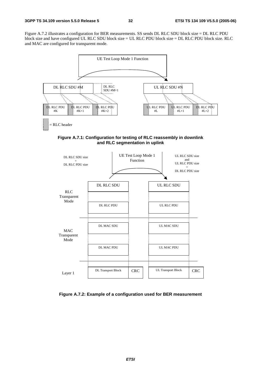Figure A.7.2 illustrates a configuration for BER measurements. SS sends DL RLC SDU block size = DL RLC PDU block size and have configured UL RLC SDU block size = UL RLC PDU block size = DL RLC PDU block size. RLC and MAC are configured for transparent mode.



**Figure A.7.1: Configuration for testing of RLC reassembly in downlink and RLC segmentation in uplink** 



**Figure A.7.2: Example of a configuration used for BER measurement**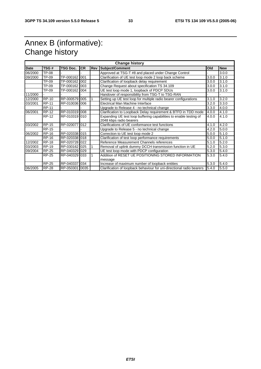# Annex B (informative): Change history

|             | <b>Change history</b> |                 |           |     |                                                                       |       |            |  |  |
|-------------|-----------------------|-----------------|-----------|-----|-----------------------------------------------------------------------|-------|------------|--|--|
| <b>Date</b> | TSG#                  | <b>TSG Doc.</b> | <b>CR</b> | Rev | Subject/Comment                                                       | Old   | <b>New</b> |  |  |
| 06/2000     | <b>TP-08</b>          |                 |           |     | Approved at TSG-T #8 and placed under Change Control                  |       | 3.0.0      |  |  |
| 09/2000     | TP-09                 | TP-000162       | 001       |     | Clarification of UE test loop mode 2 loop back scheme                 | 3.0.0 | 3.1.0      |  |  |
|             | TP-09                 | TP-000162       | 002       |     | Clarification of loopback delay requirement                           | 3.0.0 | 3.1.0      |  |  |
|             | TP-09                 | TP-000162       | 003       |     | Change Request about specification TS 34.109                          | 3.0.0 | 3.1.0      |  |  |
|             | TP-09                 | TP-000162       | 004       |     | UE test loop mode 1, loopback of PDCP SDUs                            | 3.0.0 | 3.1.0      |  |  |
| 11/2000     |                       |                 |           |     | Handover of responsibility from TSG-T to TSG-RAN                      |       |            |  |  |
| 12/2000     | <b>RP-10</b>          | RP-000579 005   |           |     | Setting up UE test loop for multiple radio bearer configurations      | 3.1.0 | 3.2.0      |  |  |
| 03/2001     | <b>RP-11</b>          | RP-010036 006   |           |     | Electrical Man Machine Interface                                      | 3.2.0 | 3.3.0      |  |  |
|             | <b>RP-11</b>          |                 |           |     | Upgrade to Release 4 - no technical change                            | 3.3.0 | 4.0.0      |  |  |
| 06/2001     | <b>RP-12</b>          | RP-010319 008   |           |     | Clarification to Loopback Delay requirement & BTFD in TDD mode        | 4.0.0 | 4.1.0      |  |  |
|             | <b>RP-12</b>          | RP-010319 010   |           |     | Expanding UE test loop buffering capabilities to enable testing of    | 4.0.0 | 4.1.0      |  |  |
|             |                       |                 |           |     | 2048 kbps radio bearers                                               |       |            |  |  |
| 03/2002     | <b>RP-15</b>          | RP-020077       | 012       |     | Clarifications of UE conformance test functions                       | 4.1.0 | 4.2.0      |  |  |
|             | <b>RP-15</b>          |                 |           |     | Upgrade to Release 5 - no technical change                            | 4.2.0 | 5.0.0      |  |  |
| 06/2002     | <b>RP-16</b>          | RP-020338 015   |           |     | Correction to UE test loop mode 2                                     | 5.0.0 | 5.1.0      |  |  |
|             | <b>RP-16</b>          | RP-020338 018   |           |     | Clarification of test loop performance requirements                   | 5.0.0 | 5.1.0      |  |  |
| 12/2002     | <b>RP-18</b>          | RP-020728 022   |           |     | Reference Measurement Channels references                             | 5.1.0 | 5.2.0      |  |  |
| 03/2003     | <b>RP-19</b>          | RP-030162 025   |           | 1   | Removal of uplink dummy DCCH transmission function in UE              | 5.2.0 | 5.3.0      |  |  |
| 09/2004     | <b>RP-25</b>          | RP-040329 029   |           |     | UE test loop mode with PDCP configuration                             | 5.3.0 | 5.4.0      |  |  |
|             | <b>RP-25</b>          | RP-040329 033   |           | 1   | Addition of RESET UE POSITIONING STORED INFORMATION                   | 5.3.0 | 5.4.0      |  |  |
|             |                       |                 |           |     | message                                                               |       |            |  |  |
|             | <b>RP-25</b>          | RP-040337       | 034       |     | Increase of maximum number of loopback entities                       | 5.3.0 | 5.4.0      |  |  |
| 06/2005     | <b>RP-28</b>          | RP-050301 0035  |           |     | Clarification of loopback behaviour for uni-directional radio bearers | 5.4.0 | 5.5.0      |  |  |